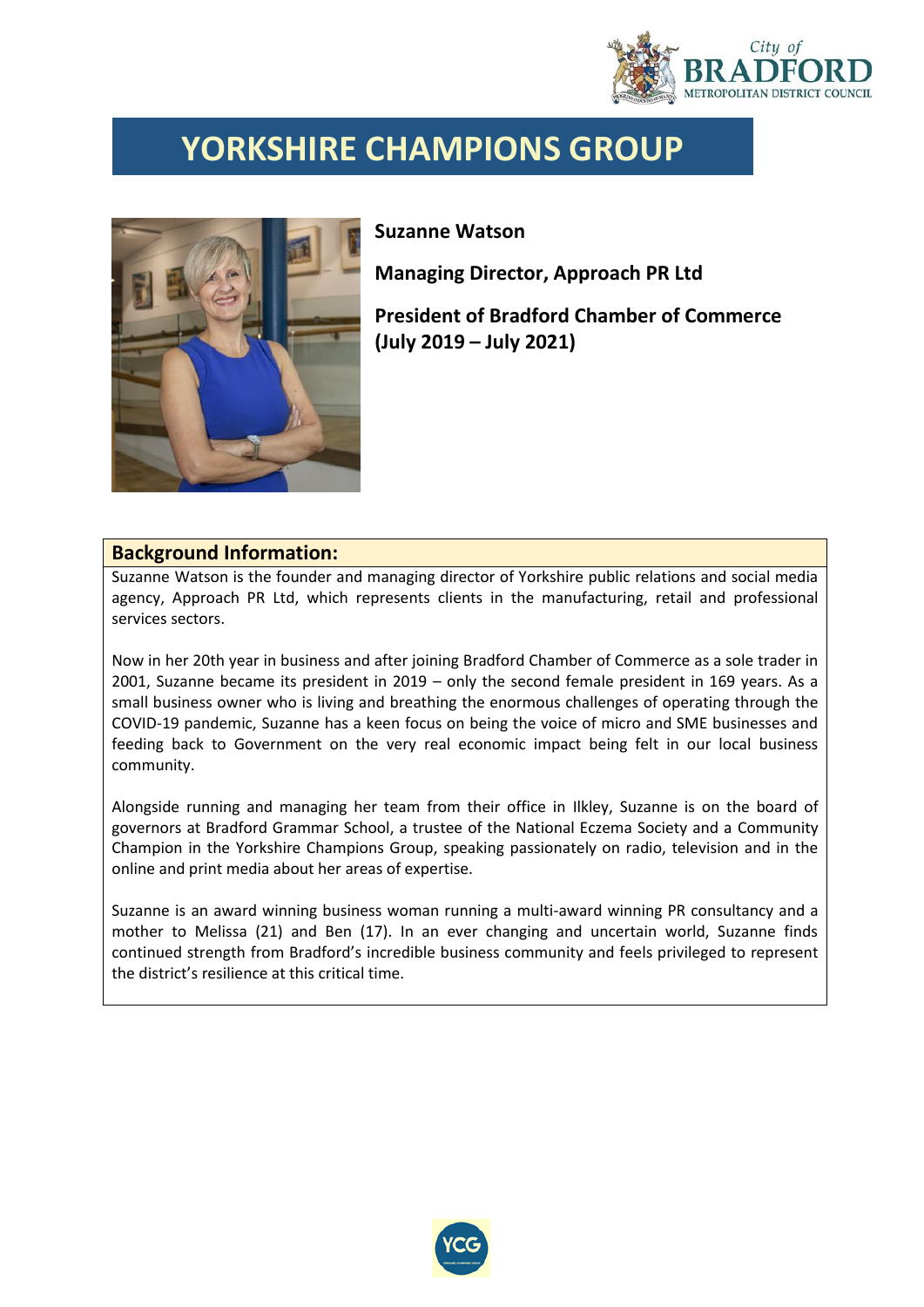

## **YORKSHIRE CHAMPIONS GROUP**



## **Suzanne Watson**

**Managing Director, Approach PR Ltd**

**President of Bradford Chamber of Commerce (July 2019 – July 2021)**

## **Background Information:**

Suzanne Watson is the founder and managing director of Yorkshire public relations and social media agency, Approach PR Ltd, which represents clients in the manufacturing, retail and professional services sectors.

Now in her 20th year in business and after joining Bradford Chamber of Commerce as a sole trader in 2001, Suzanne became its president in 2019 – only the second female president in 169 years. As a small business owner who is living and breathing the enormous challenges of operating through the COVID-19 pandemic, Suzanne has a keen focus on being the voice of micro and SME businesses and feeding back to Government on the very real economic impact being felt in our local business community.

Alongside running and managing her team from their office in Ilkley, Suzanne is on the board of governors at Bradford Grammar School, a trustee of the National Eczema Society and a Community Champion in the Yorkshire Champions Group, speaking passionately on radio, television and in the online and print media about her areas of expertise.

Suzanne is an award winning business woman running a multi-award winning PR consultancy and a mother to Melissa (21) and Ben (17). In an ever changing and uncertain world, Suzanne finds continued strength from Bradford's incredible business community and feels privileged to represent the district's resilience at this critical time.